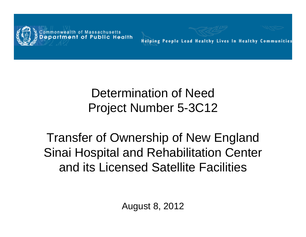

**Helping People Lead Healthy Lives In Healthy Communities** 

#### Determination of Need Project Number 5-3C12

Transfer of Ownership of New England Sinai Hospital and Rehabilitation Center and its Licensed Satellite Facilities

August 8, 2012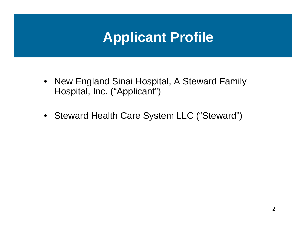# **Applicant Profile**

- New England Sinai Hospital, A Steward Family Hospital, Inc. ("Applicant")
- Steward Health Care System LLC ("Steward")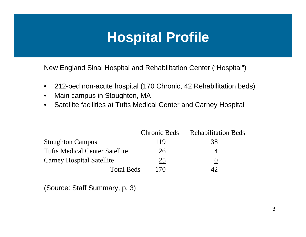# **Hospital Profile**

New England Sinai Hospital and Rehabilitation Center ("Hospital")

- 212-bed non-acute hospital (170 Chronic, 42 Rehabilitation beds)
- Main campus in Stoughton, MA
- Satellite facilities at Tufts Medical Center and Carney Hospital

|                                       | <b>Chronic Beds</b> | <b>Rehabilitation Beds</b> |
|---------------------------------------|---------------------|----------------------------|
| <b>Stoughton Campus</b>               | 119                 | 38                         |
| <b>Tufts Medical Center Satellite</b> | 26                  |                            |
| <b>Carney Hospital Satellite</b>      | 25                  | O                          |
| <b>Total Beds</b>                     | 170                 |                            |

(Source: Staff Summary, p. 3)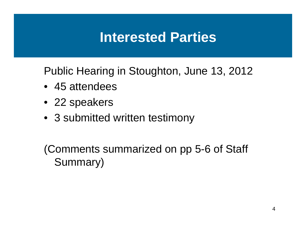#### **Interested Parties**

Public Hearing in Stoughton, June 13, 2012

- 45 attendees
- 22 speakers
- 3 submitted written testimony

(Comments summarized on pp 5-6 of Staff Summary)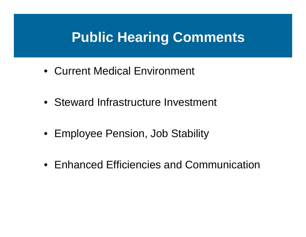## **Public Hearing Comments**

- Current Medical Environment
- Steward Infrastructure Investment
- Employee Pension, Job Stability
- Enhanced Efficiencies and Communication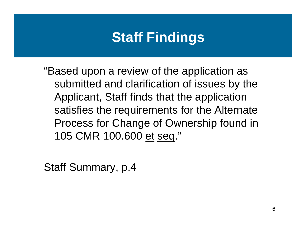# **Staff Findings**

"Based upon a review of the application as submitted and clarification of issues by the Applicant, Staff finds that the application satisfies the requirements for the Alternate Process for Change of Ownership found in 105 CMR 100.600 et seq."

Staff Summary, p.4